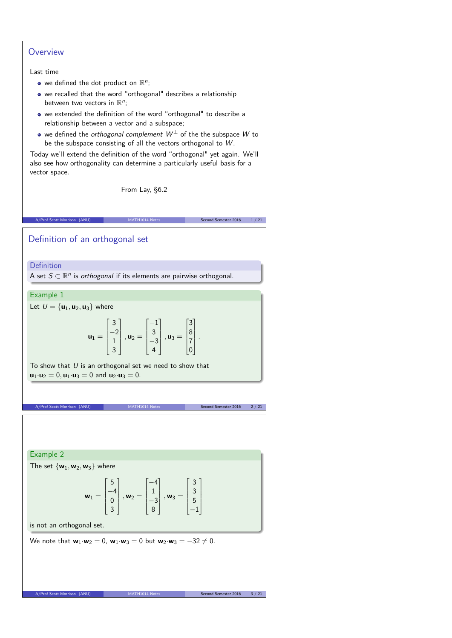# **Overview**

### Last time

- we defined the dot product on  $\mathbb{R}^n$ ;
- we recalled that the word "orthogonal" describes a relationship between two vectors in  $\mathbb{R}^n$ ;
- we extended the definition of the word "orthogonal" to describe a relationship between a vector and a subspace;
- we defined the *orthogonal complement*  $W^{\perp}$  of the the subspace W to be the subspace consisting of all the vectors orthogonal to W .

Today we'll extend the definition of the word "orthogonal" yet again. We'll also see how orthogonality can determine a particularly useful basis for a vector space.

From Lay, §6.2

A/Prof Scott Morrison (ANU) MATH1014 Notes Second Semester 2016 1/21

Definition of an orthogonal set

**Definition** 

A set  $S \subset \mathbb{R}^n$  is *orthogonal* if its elements are pairwise orthogonal.

## Example 1

Let  $U = {\mathbf{u}_1, \mathbf{u}_2, \mathbf{u}_3}$  where

$$
\mathbf{u}_1 = \begin{bmatrix} 3 \\ -2 \\ 1 \\ 3 \end{bmatrix}, \mathbf{u}_2 = \begin{bmatrix} -1 \\ 3 \\ -3 \\ 4 \end{bmatrix}, \mathbf{u}_3 = \begin{bmatrix} 3 \\ 8 \\ 7 \\ 0 \end{bmatrix}.
$$

To show that  $U$  is an orthogonal set we need to show that  $u_1 \cdot u_2 = 0$ ,  $u_1 \cdot u_3 = 0$  and  $u_2 \cdot u_3 = 0$ .

A/Prof Scott Morrison (ANU) MATH1014 Notes Second Semester 2016 2 / 21

Example 2

The set  $\{w_1, w_2, w_3\}$  where

$$
\mathbf{w}_1 = \begin{bmatrix} 5 \\ -4 \\ 0 \\ 3 \end{bmatrix}, \mathbf{w}_2 = \begin{bmatrix} -4 \\ 1 \\ -3 \\ 8 \end{bmatrix}, \mathbf{w}_3 = \begin{bmatrix} 3 \\ 3 \\ 5 \\ -1 \end{bmatrix}
$$

is not an orthogonal set.

We note that  $\mathbf{w}_1 \cdot \mathbf{w}_2 = 0$ ,  $\mathbf{w}_1 \cdot \mathbf{w}_3 = 0$  but  $\mathbf{w}_2 \cdot \mathbf{w}_3 = -32 \neq 0$ .

A/Prof Scott Morrison (ANU) MATH1014 I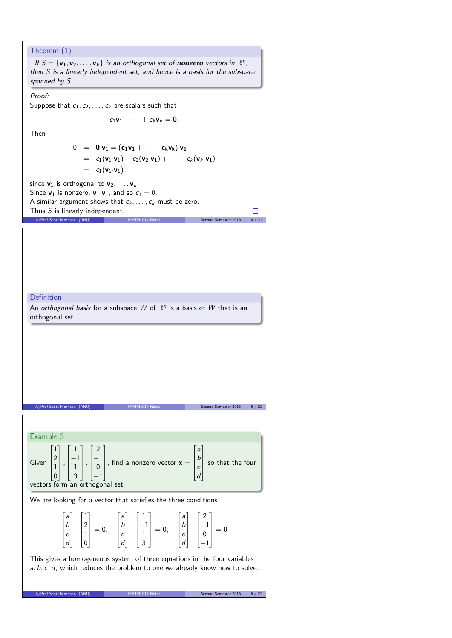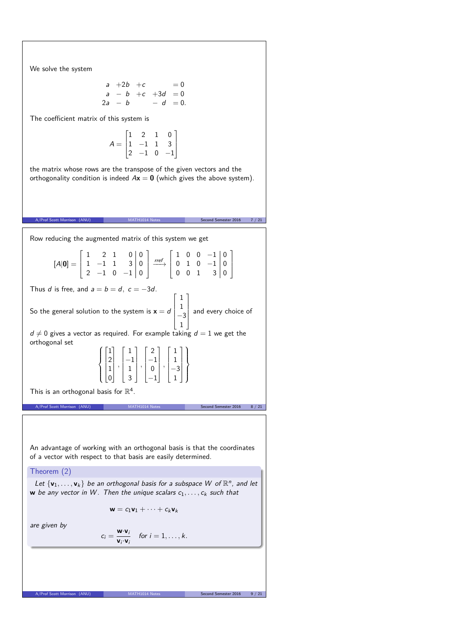We solve the system

$$
\begin{array}{cccc}\na & +2b & +c & = 0 \\
a & -b & +c & +3d & = 0 \\
2a & -b & -d & = 0.\n\end{array}
$$

The coefficient matrix of this system is

$$
A = \begin{bmatrix} 1 & 2 & 1 & 0 \\ 1 & -1 & 1 & 3 \\ 2 & -1 & 0 & -1 \end{bmatrix}
$$

the matrix whose rows are the transpose of the given vectors and the orthogonality condition is indeed  $A\mathbf{x} = \mathbf{0}$  (which gives the above system).

of Scott Morrison (ANU) MATH1014 Notes Second Semester 2016 7 / 21 Row reducing the augmented matrix of this system we get  $[A|0] =$  $\Gamma$  $\overline{\phantom{a}}$  $1 \quad 2 \quad 1 \quad 0 \, 0$  $1 \quad -1 \quad 1 \quad 3 \mid 0$  $2$   $-1$  0  $-1$ |0 T.  $\overline{1}$  $\xrightarrow{rref}$  $\Gamma$  $\overline{1}$  $1 \t0 \t0 \t-1 0$ 0 1 0 −1 0  $0 \t0 \t1 \t3 0$ T.  $\overline{1}$ Thus d is free, and  $a = b = d$ ,  $c = -3d$ . So the general solution to the system is  $x = d$  $\Gamma$  1 1  $-3$ 1 T.  $\parallel$ and every choice of  $d \neq 0$  gives a vector as required. For example taking  $d = 1$  we get the orthogonal set  $\int$  $\overline{\mathcal{L}}$  $\Gamma$  $\begin{bmatrix} 1 \\ 1 \end{bmatrix}$ 1 2 1 0 T  $\overline{\phantom{a}}$ *,*  $\Gamma$  $\overline{\phantom{a}}$ 1 −1 1 3 T  $\overline{\phantom{a}}$ *,*  $\Gamma$  $\overline{\phantom{a}}$ 2 −1 0  $\overline{-1}$ T  $\overline{\phantom{a}}$ *,*  $\Gamma$  $\overline{\phantom{a}}$ 1 1  $-3$ 1 T  $\overline{\phantom{a}}$  $\overline{\mathcal{L}}$  $\int$ This is an orthogonal basis for  $\mathbb{R}^4$ . A/Prof Scott Morrison (ANU) MATH1014 Notes Second Semester 2016 8 / 21 An advantage of working with an orthogonal basis is that the coordinates of a vector with respect to that basis are easily determined. Theorem (2) Let  $\{v_1, \ldots, v_k\}$  be an orthogonal basis for a subspace W of  $\mathbb{R}^n$ , and let **w** be any vector in W. Then the unique scalars  $c_1, \ldots, c_k$  such that  $\mathbf{w} = c_1 \mathbf{v}_1 + \cdots + c_k \mathbf{v}_k$ are given by  $c_i = \frac{\mathbf{w} \cdot \mathbf{v}_i}{\mathbf{w} \cdot \mathbf{v}_i}$  $\frac{\mathbf{w} \cdot \mathbf{v}_i}{\mathbf{v}_i \cdot \mathbf{v}_i}$  for  $i = 1, \ldots, k$ . A/Prof Scott Morrison (ANU) MATH1014 Notes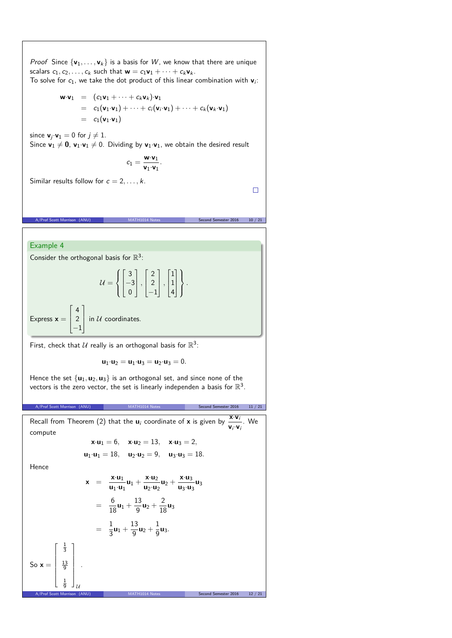*Proof* Since  $\{v_1, \ldots, v_k\}$  is a basis for W, we know that there are unique scalars  $c_1, c_2, \ldots, c_k$  such that  $\mathbf{w} = c_1 \mathbf{v}_1 + \cdots + c_k \mathbf{v}_k$ . To solve for  $c_1$ , we take the dot product of this linear combination with  $\mathbf{v}_i$ :

$$
\mathbf{w} \cdot \mathbf{v}_1 = (c_1 \mathbf{v}_1 + \cdots + c_k \mathbf{v}_k) \cdot \mathbf{v}_1
$$
  
=  $c_1 (\mathbf{v}_1 \cdot \mathbf{v}_1) + \cdots + c_i (\mathbf{v}_i \cdot \mathbf{v}_1) + \cdots + c_k (\mathbf{v}_k \cdot \mathbf{v}_1)$   
=  $c_1 (\mathbf{v}_1 \cdot \mathbf{v}_1)$ 

since  $\mathbf{v}_i \cdot \mathbf{v}_1 = 0$  for  $j \neq 1$ . Since  $\mathbf{v}_1 \neq \mathbf{0}$ ,  $\mathbf{v}_1 \cdot \mathbf{v}_1 \neq 0$ . Dividing by  $\mathbf{v}_1 \cdot \mathbf{v}_1$ , we obtain the desired result

$$
c_1=\frac{\textbf{w}{\cdot}\textbf{v}_1}{\textbf{v}_1{\cdot}\textbf{v}_1}.
$$

A/Prof Scott Morrison (ANU) MATH1014 Notes Second Semester 2016 10 / 21

Similar results follow for  $c = 2, \ldots, k$ .

 $\Box$ 

### Example 4

Express  $x =$ 

 $\Gamma$  $\overline{ }$ 4 2  $\overline{-1}$ 

Consider the orthogonal basis for  $\mathbb{R}^3$ :

T  $\mathbf{I}$ 

$$
\mathcal{U} = \left\{ \begin{bmatrix} 3 \\ -3 \\ 0 \end{bmatrix}, \begin{bmatrix} 2 \\ 2 \\ -1 \end{bmatrix}, \begin{bmatrix} 1 \\ 1 \\ 4 \end{bmatrix} \right\}.
$$
  
in  $\mathcal{U}$  coordinates.

First, check that  $\mathcal U$  really is an orthogonal basis for  $\mathbb R^3$ :

$$
\textbf{u}_1{\cdot}\textbf{u}_2=\textbf{u}_1{\cdot}\textbf{u}_3=\textbf{u}_2{\cdot}\textbf{u}_3=0.
$$

Hence the set  $\{u_1, u_2, u_3\}$  is an orthogonal set, and since none of the vectors is the zero vector, the set is linearly independen a basis for  $\mathbb{R}^3$ .

A/Prof Scott Morrison (ANU) MATH1014 Notes Second Semester 2016 11 / 21

Recall from Theorem (2) that the  $\mathbf{u}_i$  coordinate of **x** is given by  $\frac{\mathbf{x} \cdot \mathbf{v}_i}{\cdots}$  $\frac{\mathbf{x} \cdot \mathbf{v}_i}{\mathbf{v}_i \cdot \mathbf{v}_i}$ . We compute

$$
\mathbf{x} \cdot \mathbf{u}_1 = 6, \quad \mathbf{x} \cdot \mathbf{u}_2 = 13, \quad \mathbf{x} \cdot \mathbf{u}_3 = 2, \n\mathbf{u}_1 \cdot \mathbf{u}_1 = 18, \quad \mathbf{u}_2 \cdot \mathbf{u}_2 = 9, \quad \mathbf{u}_3 \cdot \mathbf{u}_3 = 18.
$$

Hence

$$
\mathbf{x} = \frac{\mathbf{x} \cdot \mathbf{u}_1}{\mathbf{u}_1 \cdot \mathbf{u}_1} \mathbf{u}_1 + \frac{\mathbf{x} \cdot \mathbf{u}_2}{\mathbf{u}_2 \cdot \mathbf{u}_2} \mathbf{u}_2 + \frac{\mathbf{x} \cdot \mathbf{u}_3}{\mathbf{u}_3} \mathbf{u}_3
$$
  
\n
$$
= \frac{6}{18} \mathbf{u}_1 + \frac{13}{9} \mathbf{u}_2 + \frac{2}{18} \mathbf{u}_3
$$
  
\n
$$
= \frac{1}{3} \mathbf{u}_1 + \frac{13}{9} \mathbf{u}_2 + \frac{1}{9} \mathbf{u}_3.
$$
  
\nSo  $\mathbf{x} = \begin{bmatrix} \frac{1}{3} \\ \frac{13}{9} \\ \frac{1}{9} \end{bmatrix}.$   
\nA/Prof Scott Morrison (ANU)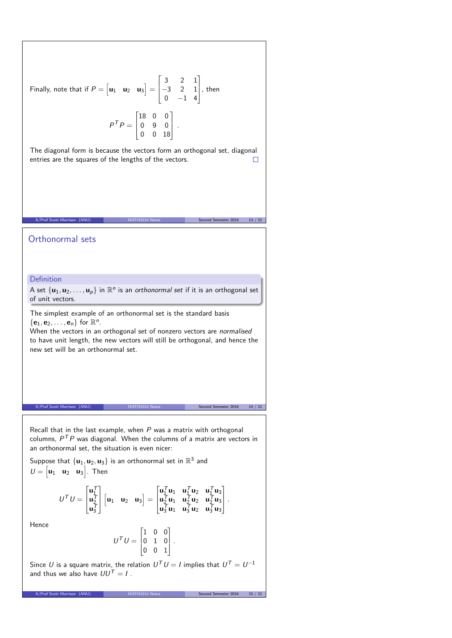Finally, note that if 
$$
P = \begin{bmatrix} \mathbf{u}_1 & \mathbf{u}_2 & \mathbf{u}_3 \end{bmatrix} = \begin{bmatrix} 3 & 2 & 1 \\ -3 & 2 & 1 \\ 0 & -1 & 4 \end{bmatrix}
$$
, then  

$$
P^T P = \begin{bmatrix} 18 & 0 & 0 \\ 0 & 9 & 0 \\ 0 & 0 & 18 \end{bmatrix}.
$$

The diagonal form is because the vectors form an orthogonal set, diagonal entries are the squares of the lengths of the vectors.  $\Box$ 

A/Prof Scott Morrison (ANU) MATH1014 Notes Second Semester 2016 13 / 21 Notes Second Semester 2016 13 / 21 No

# Orthonormal sets

# Definition

A set  $\{u_1, u_2, \ldots, u_p\}$  in  $\mathbb{R}^n$  is an orthonormal set if it is an orthogonal set of unit vectors.

The simplest example of an orthonormal set is the standard basis  $\{\mathbf{e}_1, \mathbf{e}_2, \dots, \mathbf{e}_n\}$  for  $\mathbb{R}^n$ . When the vectors in an orthogonal set of nonzero vectors are normalised

to have unit length, the new vectors will still be orthogonal, and hence the new set will be an orthonormal set.

A/Prof Scott Morrison (ANU) MATH1014 Notes Second Semester 2016 14 / 21

Recall that in the last example, when  $P$  was a matrix with orthogonal columns,  $P^{\mathsf{T}}P$  was diagonal. When the columns of a matrix are vectors in an orthonormal set, the situation is even nicer:

Suppose that  $\{u_1, u_2, u_3\}$  is an orthonormal set in  $\mathbb{R}^3$  and  $U = \begin{bmatrix} u_1 & u_2 & u_3 \end{bmatrix}$ . Then

$$
U^{\mathcal{T}}U = \begin{bmatrix} u_1^{\mathcal{T}} \\ u_2^{\mathcal{T}} \\ u_3^{\mathcal{T}} \end{bmatrix} \begin{bmatrix} u_1 & u_2 & u_3 \end{bmatrix} = \begin{bmatrix} u_1^{\mathcal{T}}u_1 & u_1^{\mathcal{T}}u_2 & u_1^{\mathcal{T}}u_3 \\ u_2^{\mathcal{T}}u_1 & u_2^{\mathcal{T}}u_2 & u_2^{\mathcal{T}}u_3 \\ u_3^{\mathcal{T}}u_1 & u_3^{\mathcal{T}}u_2 & u_3^{\mathcal{T}}u_3 \end{bmatrix}.
$$

Hence

$$
U^T U = \begin{bmatrix} 1 & 0 & 0 \\ 0 & 1 & 0 \\ 0 & 0 & 1 \end{bmatrix}.
$$

Since  $U$  is a square matrix, the relation  $U^{\mathsf{T}}U=I$  implies that  $U^{\mathsf{T}}=U^{-1}$ and thus we also have  $UU^T = I$ .

A/Prof Scott Morrison (ANU) MATH1014 Notes Second Semester 2016 15 / 21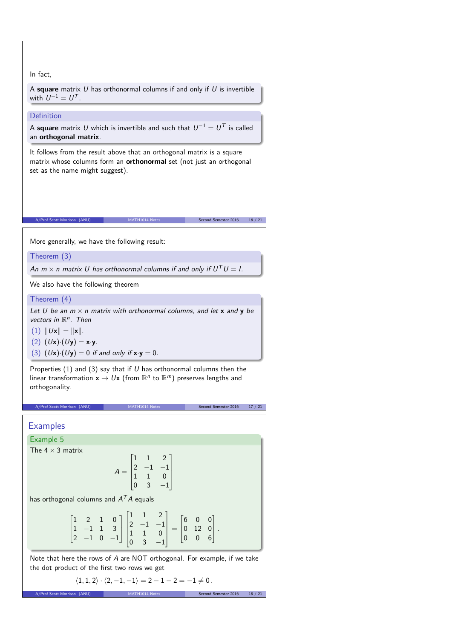### In fact,

A **square** matrix U has orthonormal columns if and only if U is invertible with  $U^{-1}=U^{\mathcal{T}}$ .

### Definition

A **square** matrix  $U$  which is invertible and such that  $U^{-1} = U^{\mathcal{T}}$  is called an **orthogonal matrix**.

It follows from the result above that an orthogonal matrix is a square matrix whose columns form an **orthonormal** set (not just an orthogonal set as the name might suggest).

 $A(NU)$  MATH1014 Notes Second Semester 2016 16 / 21

More generally, we have the following result:

Theorem (3)

An  $m \times n$  matrix U has orthonormal columns if and only if  $U^T U = I$ .

We also have the following theorem

Theorem (4)

Let U be an  $m \times n$  matrix with orthonormal columns, and let **x** and **y** be vectors in  $\mathbb{R}^n$ . Then

 $(1)$   $||Ux|| = ||x||.$ 

(2)  $(Ux) \cdot (Uy) = x \cdot y$ .

(3)  $(Ux) \cdot (Uy) = 0$  if and only if  $x \cdot y = 0$ .

Properties (1) and (3) say that if  $U$  has orthonormal columns then the linear transformation  $\mathsf{x} \to U\mathsf{x}$  (from  $\mathbb{R}^n$  to  $\mathbb{R}^m)$  preserves lengths and orthogonality.

# **Examples**

Example 5

The  $4 \times 3$  matrix

$$
A = \begin{bmatrix} 1 & 1 & 2 \\ 2 & -1 & -1 \\ 1 & 1 & 0 \\ 0 & 3 & -1 \end{bmatrix}
$$

A/Prof Scott Morrison (ANU) MATH1014 Notes Second Semester 2016 17 / 21

has orthogonal columns and  $A^TA$  equals

$$
\begin{bmatrix} 1 & 2 & 1 & 0 \\ 1 & -1 & 1 & 3 \\ 2 & -1 & 0 & -1 \end{bmatrix} \begin{bmatrix} 1 & 1 & 2 \\ 2 & -1 & -1 \\ 1 & 1 & 0 \\ 0 & 3 & -1 \end{bmatrix} = \begin{bmatrix} 6 & 0 & 0 \\ 0 & 12 & 0 \\ 0 & 0 & 6 \end{bmatrix}.
$$

Note that here the rows of A are NOT orthogonal. For example, if we take the dot product of the first two rows we get

$$
\langle 1, 1, 2 \rangle \cdot \langle 2, -1, -1 \rangle = 2 - 1 - 2 = -1 \neq 0.
$$
  
A/Prof Scott Morrison (ANU) MATH1014 Notes Second Semester 2016 18 / 21